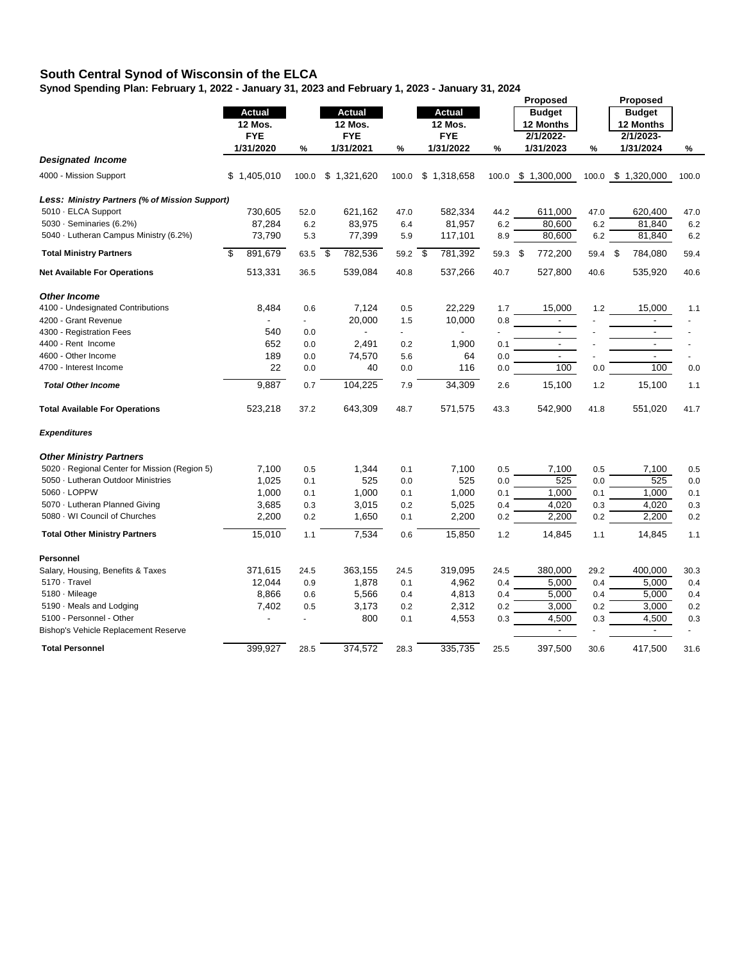## **South Central Synod of Wisconsin of the ELCA**

**Synod Spending Plan: February 1, 2022 - January 31, 2023 and February 1, 2023 - January 31, 2024**

|                                                |                 |       |                |             |        |                |               | Proposed |                          | Proposed |                          |       |
|------------------------------------------------|-----------------|-------|----------------|-------------|--------|----------------|---------------|----------|--------------------------|----------|--------------------------|-------|
|                                                | <b>Actual</b>   |       |                | Actual      |        |                | <b>Actual</b> |          | <b>Budget</b>            |          | <b>Budget</b>            |       |
|                                                | 12 Mos.         |       | <b>12 Mos.</b> |             |        | <b>12 Mos.</b> |               |          | 12 Months                |          | 12 Months                |       |
|                                                | <b>FYE</b>      |       |                | <b>FYE</b>  |        |                | <b>FYE</b>    |          | 2/1/2022-                |          | 2/1/2023-                |       |
|                                                | 1/31/2020       | %     |                | 1/31/2021   | %      |                | 1/31/2022     | %        | 1/31/2023                | %        | 1/31/2024                | %     |
| <b>Designated Income</b>                       |                 |       |                |             |        |                |               |          |                          |          |                          |       |
| 4000 - Mission Support                         | \$<br>1,405,010 | 100.0 |                | \$1,321,620 | 100.0  |                | \$1,318,658   |          | 100.0 \$ 1,300,000       |          | 100.0 \$ 1,320,000       | 100.0 |
| Less: Ministry Partners (% of Mission Support) |                 |       |                |             |        |                |               |          |                          |          |                          |       |
| 5010 · ELCA Support                            | 730,605         | 52.0  |                | 621,162     | 47.0   |                | 582,334       | 44.2     | 611,000                  | 47.0     | 620,400                  | 47.0  |
| 5030 · Seminaries (6.2%)                       | 87,284          | 6.2   |                | 83,975      | 6.4    |                | 81,957        | 6.2      | 80,600                   | 6.2      | 81,840                   | 6.2   |
| 5040 · Lutheran Campus Ministry (6.2%)         | 73,790          | 5.3   |                | 77,399      | 5.9    |                | 117,101       | 8.9      | 80,600                   | 6.2      | 81,840                   | 6.2   |
| <b>Total Ministry Partners</b>                 | \$<br>891,679   | 63.5  | -\$            | 782,536     | 59.2   | \$             | 781,392       | 59.3     | \$<br>772,200            | 59.4     | \$<br>784,080            | 59.4  |
| <b>Net Available For Operations</b>            | 513,331         | 36.5  |                | 539,084     | 40.8   |                | 537,266       | 40.7     | 527,800                  | 40.6     | 535,920                  | 40.6  |
| <b>Other Income</b>                            |                 |       |                |             |        |                |               |          |                          |          |                          |       |
| 4100 - Undesignated Contributions              | 8,484           | 0.6   |                | 7,124       | 0.5    |                | 22,229        | 1.7      | 15,000                   | 1.2      | 15,000                   | 1.1   |
| 4200 - Grant Revenue                           |                 | ÷.    |                | 20,000      | 1.5    |                | 10,000        | 0.8      | $\overline{\phantom{a}}$ |          | $\blacksquare$           |       |
| 4300 - Registration Fees                       | 540             | 0.0   |                |             | $\sim$ |                |               |          | $\blacksquare$           |          | $\blacksquare$           |       |
| 4400 - Rent Income                             | 652             | 0.0   |                | 2,491       | 0.2    |                | 1,900         | 0.1      | $\overline{\phantom{a}}$ |          | $\blacksquare$           |       |
| 4600 - Other Income                            | 189             | 0.0   |                | 74,570      | 5.6    |                | 64            | 0.0      | $\blacksquare$           |          | $\overline{\phantom{a}}$ |       |
| 4700 - Interest Income                         | 22              | 0.0   |                | 40          | 0.0    |                | 116           | 0.0      | 100                      | 0.0      | 100                      | 0.0   |
|                                                |                 |       |                |             |        |                |               |          |                          |          |                          |       |
| <b>Total Other Income</b>                      | 9,887           | 0.7   |                | 104,225     | 7.9    |                | 34,309        | 2.6      | 15,100                   | 1.2      | 15,100                   | 1.1   |
| <b>Total Available For Operations</b>          | 523,218         | 37.2  |                | 643,309     | 48.7   |                | 571,575       | 43.3     | 542,900                  | 41.8     | 551,020                  | 41.7  |
| <b>Expenditures</b>                            |                 |       |                |             |        |                |               |          |                          |          |                          |       |
| <b>Other Ministry Partners</b>                 |                 |       |                |             |        |                |               |          |                          |          |                          |       |
| 5020 · Regional Center for Mission (Region 5)  | 7,100           | 0.5   |                | 1,344       | 0.1    |                | 7,100         | 0.5      | 7,100                    | 0.5      | 7,100                    | 0.5   |
| 5050 · Lutheran Outdoor Ministries             | 1,025           | 0.1   |                | 525         | 0.0    |                | 525           | 0.0      | 525                      | 0.0      | 525                      | 0.0   |
| 5060 · LOPPW                                   | 1,000           | 0.1   |                | 1,000       | 0.1    |                | 1,000         | 0.1      | 1,000                    | 0.1      | 1,000                    | 0.1   |
| 5070 · Lutheran Planned Giving                 | 3,685           | 0.3   |                | 3,015       | 0.2    |                | 5,025         | 0.4      | 4,020                    | 0.3      | 4,020                    | 0.3   |
| 5080 · WI Council of Churches                  | 2,200           | 0.2   |                | 1,650       | 0.1    |                | 2,200         | 0.2      | 2,200                    | 0.2      | 2,200                    | 0.2   |
| <b>Total Other Ministry Partners</b>           | 15,010          | 1.1   |                | 7,534       | 0.6    |                | 15,850        | 1.2      | 14,845                   | 1.1      | 14,845                   | 1.1   |
| Personnel                                      |                 |       |                |             |        |                |               |          |                          |          |                          |       |
| Salary, Housing, Benefits & Taxes              | 371,615         | 24.5  |                | 363,155     | 24.5   |                | 319,095       | 24.5     | 380,000                  | 29.2     | 400,000                  | 30.3  |
| $5170 \cdot$ Travel                            | 12,044          | 0.9   |                | 1,878       | 0.1    |                | 4,962         | 0.4      | 5,000                    | 0.4      | 5.000                    | 0.4   |
| 5180 · Mileage                                 | 8,866           | 0.6   |                | 5,566       | 0.4    |                | 4,813         | 0.4      | 5,000                    | 0.4      | 5,000                    | 0.4   |
| 5190 · Meals and Lodging                       | 7,402           | 0.5   |                | 3,173       | 0.2    |                | 2,312         | 0.2      | 3,000                    | 0.2      | 3,000                    | 0.2   |
| 5100 - Personnel - Other                       | $\overline{a}$  |       |                | 800         | 0.1    |                | 4,553         | 0.3      | 4,500                    | 0.3      | 4,500                    | 0.3   |
| <b>Bishop's Vehicle Replacement Reserve</b>    |                 |       |                |             |        |                |               |          |                          |          | $\overline{a}$           |       |
| <b>Total Personnel</b>                         | 399,927         | 28.5  |                | 374,572     | 28.3   |                | 335,735       | 25.5     | 397,500                  | 30.6     | 417,500                  | 31.6  |